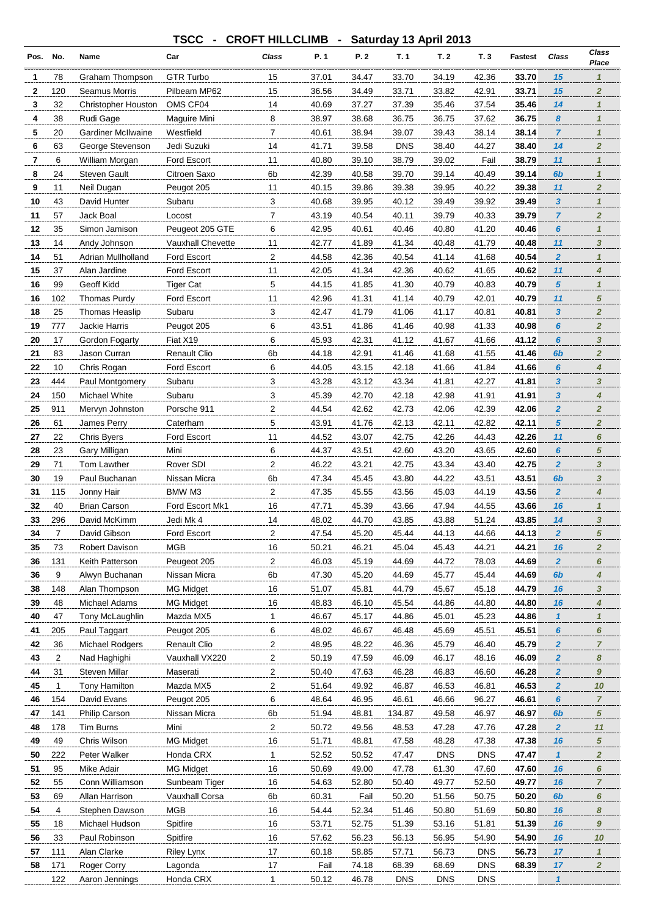|          |                |                              | TSCC - CROFT HILLCLIMB - Saturday 13 April 2013 |                         |                |                |                |                |                |                |                |                  |
|----------|----------------|------------------------------|-------------------------------------------------|-------------------------|----------------|----------------|----------------|----------------|----------------|----------------|----------------|------------------|
| Pos. No. |                | Name                         | Car                                             | Class                   | P. 1           | P. 2           | T.1            | T <sub>2</sub> | T. 3           | <b>Fastest</b> | Class          | Class<br>Place   |
| 1        | 78             | Graham Thompson              | <b>GTR Turbo</b>                                | 15                      | 37.01          | 34.47          | 33.70          | 34.19          | 42.36          | 33.70          | 15             | $\mathbf{1}$     |
| 2        | 120            | Seamus Morris                | Pilbeam MP62                                    | 15                      | 36.56          | 34.49          | 33.71          | 33.82          | 42.91          | 33.71          | 15             | $\overline{2}$   |
| 3        | 32             | <b>Christopher Houston</b>   | OMS CF04                                        | 14                      | 40.69          | 37.27          | 37.39          | 35.46          | 37.54          | 35.46          | 14             | $\mathbf{1}$     |
| 4        | 38             | Rudi Gage                    | Maguire Mini                                    | 8                       | 38.97          | 38.68          | 36.75          | 36.75          | 37.62          | 36.75          | 8              | $\mathbf{1}$     |
| 5        | 20             | <b>Gardiner McIlwaine</b>    | Westfield                                       | $\overline{7}$          | 40.61          | 38.94          | 39.07          | 39.43          | 38.14          | 38.14          | $\overline{7}$ | $\mathbf{1}$     |
| 6        | 63             | George Stevenson             | Jedi Suzuki                                     | 14                      | 41.71          | 39.58          | <b>DNS</b>     | 38.40          | 44.27          | 38.40          | 14             | $\overline{2}$   |
| 7        | 6              | William Morgan               | Ford Escort                                     | 11                      | 40.80          | 39.10          | 38.79          | 39.02          | Fail           | 38.79          | 11             | $\mathbf{1}$     |
| 8        | 24             | <b>Steven Gault</b>          | Citroen Saxo                                    | 6b                      | 42.39          | 40.58          | 39.70          | 39.14          | 40.49          | 39.14          | 6 <sub>b</sub> | $\mathbf{1}$     |
| 9        | 11             | Neil Dugan                   | Peugot 205                                      | 11                      | 40.15          | 39.86          | 39.38          | 39.95          | 40.22          | 39.38          | 11             | $\overline{2}$   |
| 10       | 43             | David Hunter                 | Subaru                                          | 3                       | 40.68          | 39.95          | 40.12          | 39.49          | 39.92          | 39.49          | 3              | $\mathbf{1}$     |
| 11       | 57             | Jack Boal                    | Locost                                          | $\overline{7}$          | 43.19          | 40.54          | 40.11          | 39.79          | 40.33          | 39.79          | $\overline{7}$ | $\overline{2}$   |
| 12       | 35             | Simon Jamison                | Peugeot 205 GTE                                 | 6                       | 42.95          | 40.61          | 40.46          | 40.80          | 41.20          | 40.46          | 6              | $\mathbf{1}$     |
| 13       | 14             | Andy Johnson                 | Vauxhall Chevette                               | 11                      | 42.77          | 41.89          | 41.34          | 40.48          | 41.79          | 40.48          | 11             | 3                |
| 14       | 51             | Adrian Mullholland           | Ford Escort                                     | 2                       | 44.58          | 42.36          | 40.54          | 41.14          | 41.68          | 40.54          | $\overline{2}$ | $\mathbf{1}$     |
| 15       | 37             | Alan Jardine                 | Ford Escort                                     | 11                      | 42.05          | 41.34          | 42.36          | 40.62          | 41.65          | 40.62          | 11             | 4                |
| 16       | 99             | Geoff Kidd                   | <b>Tiger Cat</b>                                | 5                       | 44.15          | 41.85          | 41.30          | 40.79          | 40.83          | 40.79          | $\sqrt{5}$     | $\mathbf{1}$     |
| 16       | 102            | Thomas Purdy                 | Ford Escort                                     | 11                      | 42.96          | 41.31          | 41.14          | 40.79          | 42.01          | 40.79          | 11             | $5\overline{)}$  |
| 18       | 25             | Thomas Heaslip               | Subaru                                          | 3                       | 42.47          | 41.79          | 41.06          | 41.17          | 40.81          | 40.81          | 3              | $\overline{2}$   |
| 19       | 777            | Jackie Harris                | Peugot 205                                      | 6                       | 43.51          | 41.86          | 41.46          | 40.98          | 41.33          | 40.98          | 6              | $\overline{2}$   |
| 20       | 17             | Gordon Fogarty               | Fiat X19                                        | 6                       | 45.93          | 42.31          | 41.12          | 41.67          | 41.66          | 41.12          | 6              | 3                |
| 21       | 83             | Jason Curran                 | Renault Clio                                    | 6b                      | 44.18          | 42.91          | 41.46          | 41.68          | 41.55          | 41.46          | 6 <sub>b</sub> | $\overline{2}$   |
| 22       | 10             | Chris Rogan                  | Ford Escort                                     | 6                       | 44.05          | 43.15          | 42.18          | 41.66          | 41.84          | 41.66          | 6              | 4                |
| 23       | 444            | Paul Montgomery              | Subaru                                          | 3                       | 43.28          | 43.12          | 43.34          | 41.81          | 42.27          | 41.81          | 3              | 3                |
| 24       | 150            | Michael White                | Subaru                                          | 3                       | 45.39          | 42.70          | 42.18          | 42.98          | 41.91          | 41.91          | 3              | 4                |
| 25       | 911            | Mervyn Johnston              | Porsche 911                                     | 2                       | 44.54          | 42.62          | 42.73          | 42.06          | 42.39          | 42.06          | $\overline{2}$ | $\overline{2}$   |
| 26       | 61             | James Perry                  | Caterham                                        | 5                       | 43.91          | 41.76          | 42.13          | 42.11          | 42.82          | 42.11          | $5\phantom{1}$ | $\overline{2}$   |
| 27<br>28 | 22<br>23       | <b>Chris Byers</b>           | Ford Escort<br>Mini                             | 11<br>6                 | 44.52          | 43.07          | 42.75          | 42.26<br>43.20 | 44.43          | 42.26          | 11<br>6        | 6<br>$\sqrt{5}$  |
| 29       | 71             | Gary Milligan<br>Tom Lawther | Rover SDI                                       | $\overline{2}$          | 44.37<br>46.22 | 43.51<br>43.21 | 42.60<br>42.75 | 43.34          | 43.65<br>43.40 | 42.60<br>42.75 | $\overline{2}$ | 3                |
| 30       | 19             | Paul Buchanan                | Nissan Micra                                    | 6b                      | 47.34          | 45.45          | 43.80          | 44.22          | 43.51          | 43.51          | 6 <sub>b</sub> | 3                |
| 31       | 115            | Jonny Hair                   | BMW M3                                          | 2                       | 47.35          | 45.55          | 43.56          | 45.03          | 44.19          | 43.56          | $\overline{2}$ | 4                |
| 32       | 40             | <b>Brian Carson</b>          | Ford Escort Mk1                                 | 16                      | 47.71          | 45.39          | 43.66          | 47.94          | 44.55          | 43.66          | 16             | $\mathbf{1}$     |
| 33       | 296            | David McKimm                 | Jedi Mk 4                                       | 14                      | 48.02          | 44.70          | 43.85          | 43.88          | 51.24          | 43.85          | 14             | 3                |
| 34       | 7              | David Gibson                 | Ford Escort                                     | 2                       | 47.54          | 45.20          | 45.44          | 44.13          | 44.66          | 44.13          | $\overline{2}$ | $5\phantom{.0}$  |
| 35       | 73             | Robert Davison               | <b>MGB</b>                                      | 16                      | 50.21          | 46.21          | 45.04          | 45.43          | 44.21          | 44.21          | 16             | $\overline{2}$   |
| 36       | 131            | Keith Patterson              | Peugeot 205                                     | 2                       | 46.03          | 45.19          | 44.69          | 44.72          | 78.03          | 44.69          | $\overline{2}$ | 6                |
| 36       | 9              | Alwyn Buchanan               | Nissan Micra                                    | 6b                      | 47.30          | 45.20          | 44.69          | 45.77          | 45.44          | 44.69          | 6b             | 4                |
| 38       | 148            | Alan Thompson                | <b>MG Midget</b>                                | 16                      | 51.07          | 45.81          | 44.79          | 45.67          | 45.18          | 44.79          | 16             | 3                |
| 39       | 48             | Michael Adams                | <b>MG Midget</b>                                | 16                      | 48.83          | 46.10          | 45.54          | 44.86          | 44.80          | 44.80          | 16             | 4                |
| 40       | 47             | Tony McLaughlin              | Mazda MX5                                       | 1                       | 46.67          | 45.17          | 44.86          | 45.01          | 45.23          | 44.86          | $\mathbf{1}$   | $\mathbf{1}$     |
| 41       | 205            | Paul Taggart                 | Peugot 205                                      | 6                       | 48.02          | 46.67          | 46.48          | 45.69          | 45.51          | 45.51          | 6              | 6                |
| 42       | 36             | Michael Rodgers              | Renault Clio                                    | $\overline{\mathbf{c}}$ | 48.95          | 48.22          | 46.36          | 45.79          | 46.40          | 45.79          | $\overline{2}$ | 7                |
| 43       | $\overline{2}$ | Nad Haghighi                 | Vauxhall VX220                                  | 2                       | 50.19          | 47.59          | 46.09          | 46.17          | 48.16          | 46.09          | $\overline{2}$ | 8                |
| 44       | 31             | Steven Millar                | Maserati                                        | $\overline{2}$          | 50.40          | 47.63          | 46.28          | 46.83          | 46.60          | 46.28          | $\overline{2}$ | $\boldsymbol{9}$ |
| 45       | $\mathbf{1}$   | <b>Tony Hamilton</b>         | Mazda MX5                                       | $\overline{2}$          | 51.64          | 49.92          | 46.87          | 46.53          | 46.81          | 46.53          | $\overline{2}$ | 10               |
| 46       | 154            | David Evans                  | Peugot 205                                      | 6                       | 48.64          | 46.95          | 46.61          | 46.66          | 96.27          | 46.61          | 6              | $\overline{7}$   |
| 47       | 141            | Philip Carson                | Nissan Micra                                    | 6b                      | 51.94          | 48.81          | 134.87         | 49.58          | 46.97          | 46.97          | 6b             | 5                |
| 48       | 178            | Tim Burns                    | Mini                                            | $\overline{2}$          | 50.72          | 49.56          | 48.53          | 47.28          | 47.76          | 47.28          | $\overline{2}$ | 11               |
| 49       | 49             | Chris Wilson                 | <b>MG Midget</b>                                | 16                      | 51.71          | 48.81          | 47.58          | 48.28          | 47.38          | 47.38          | 16             | 5                |
| 50       | 222            | Peter Walker                 | Honda CRX                                       | $\mathbf{1}$            | 52.52          | 50.52          | 47.47          | <b>DNS</b>     | <b>DNS</b>     | 47.47          | $\mathbf{1}$   | $\overline{2}$   |
| 51       | 95             | Mike Adair                   | <b>MG Midget</b>                                | 16                      | 50.69          | 49.00          | 47.78          | 61.30          | 47.60          | 47.60          | 16             | 6                |
| 52       | 55             | Conn Williamson              | Sunbeam Tiger                                   | 16                      | 54.63          | 52.80          | 50.40          | 49.77          | 52.50          | 49.77          | 16             | $\overline{7}$   |
| 53       | 69             | Allan Harrison               | <b>Vauxhall Corsa</b>                           | 6b                      | 60.31          | Fail           | 50.20          | 51.56          | 50.75          | 50.20          | 6b             | 6                |
| 54       | 4              | Stephen Dawson               | <b>MGB</b>                                      | 16                      | 54.44          | 52.34          | 51.46          | 50.80          | 51.69          | 50.80          | 16             | 8                |
| 55       | 18             | Michael Hudson               | Spitfire                                        | 16                      | 53.71          | 52.75          | 51.39          | 53.16          | 51.81          | 51.39          | 16             | $\boldsymbol{9}$ |
| 56       | 33             | Paul Robinson                | Spitfire                                        | 16                      | 57.62          | 56.23          | 56.13          | 56.95          | 54.90          | 54.90          | 16             | 10               |
| 57       | 111            | Alan Clarke                  | Riley Lynx                                      | 17                      | 60.18          | 58.85          | 57.71          | 56.73          | <b>DNS</b>     | 56.73          | 17             | $\mathbf{1}$     |
| 58       | 171            | Roger Corry                  | Lagonda                                         | 17                      | Fail           | 74.18          | 68.39          | 68.69          | <b>DNS</b>     | 68.39          | 17             | $\overline{2}$   |
|          | 122            | Aaron Jennings               | Honda CRX                                       | $\mathbf{1}$            | 50.12          | 46.78          | <b>DNS</b>     | <b>DNS</b>     | <b>DNS</b>     |                | $\mathbf{1}$   |                  |